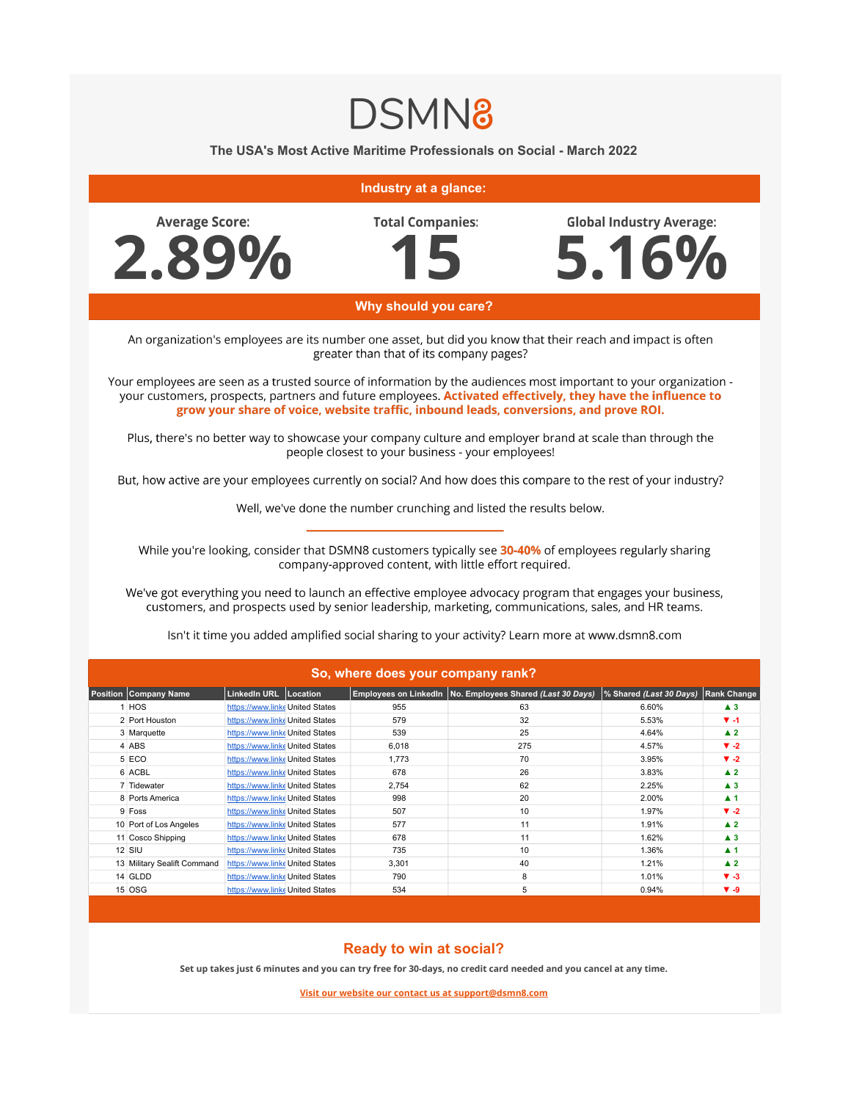## **DSMN8**

**The USA's Most Active Maritime Professionals on Social - March 2022**



## **Ready to win at social?**

14 GLDD [https://www.linke](https://www.linkedin.com/company/great-lakes-dredge-and-dock-company-llc/) United States 790 8 1.01% **▼ -3** 15 OSG **[https://www.linke](https://www.linkedin.com/company/osg-ship-management/) United States 534** 5 0.94% **▼ -9** 

**Set up takes just 6 minutes and you can try free for 30-days, no credit card needed and you cancel at any time.**

**Visit our website our contact us at support@dsmn8.com**